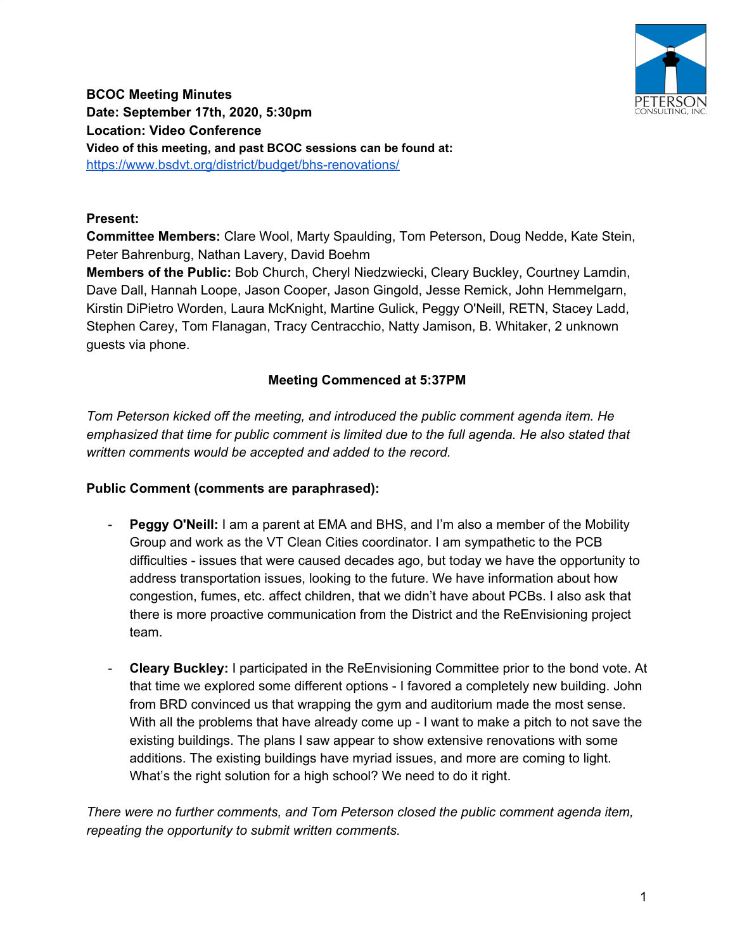

**BCOC Meeting Minutes Date: September 17th, 2020, 5:30pm Location: Video Conference Video of this meeting, and past BCOC sessions can be found at:** <https://www.bsdvt.org/district/budget/bhs-renovations/>

### **Present:**

**Committee Members:** Clare Wool, Marty Spaulding, Tom Peterson, Doug Nedde, Kate Stein, Peter Bahrenburg, Nathan Lavery, David Boehm

**Members of the Public:** Bob Church, Cheryl Niedzwiecki, Cleary Buckley, Courtney Lamdin, Dave Dall, Hannah Loope, Jason Cooper, Jason Gingold, Jesse Remick, John Hemmelgarn, Kirstin DiPietro Worden, Laura McKnight, Martine Gulick, Peggy O'Neill, RETN, Stacey Ladd, Stephen Carey, Tom Flanagan, Tracy Centracchio, Natty Jamison, B. Whitaker, 2 unknown guests via phone.

## **Meeting Commenced at 5:37PM**

*Tom Peterson kicked off the meeting, and introduced the public comment agenda item. He emphasized that time for public comment is limited due to the full agenda. He also stated that written comments would be accepted and added to the record.*

#### **Public Comment (comments are paraphrased):**

- **Peggy O'Neill:** I am a parent at EMA and BHS, and I'm also a member of the Mobility Group and work as the VT Clean Cities coordinator. I am sympathetic to the PCB difficulties - issues that were caused decades ago, but today we have the opportunity to address transportation issues, looking to the future. We have information about how congestion, fumes, etc. affect children, that we didn't have about PCBs. I also ask that there is more proactive communication from the District and the ReEnvisioning project team.
- **Cleary Buckley:** I participated in the ReEnvisioning Committee prior to the bond vote. At that time we explored some different options - I favored a completely new building. John from BRD convinced us that wrapping the gym and auditorium made the most sense. With all the problems that have already come up - I want to make a pitch to not save the existing buildings. The plans I saw appear to show extensive renovations with some additions. The existing buildings have myriad issues, and more are coming to light. What's the right solution for a high school? We need to do it right.

*There were no further comments, and Tom Peterson closed the public comment agenda item, repeating the opportunity to submit written comments.*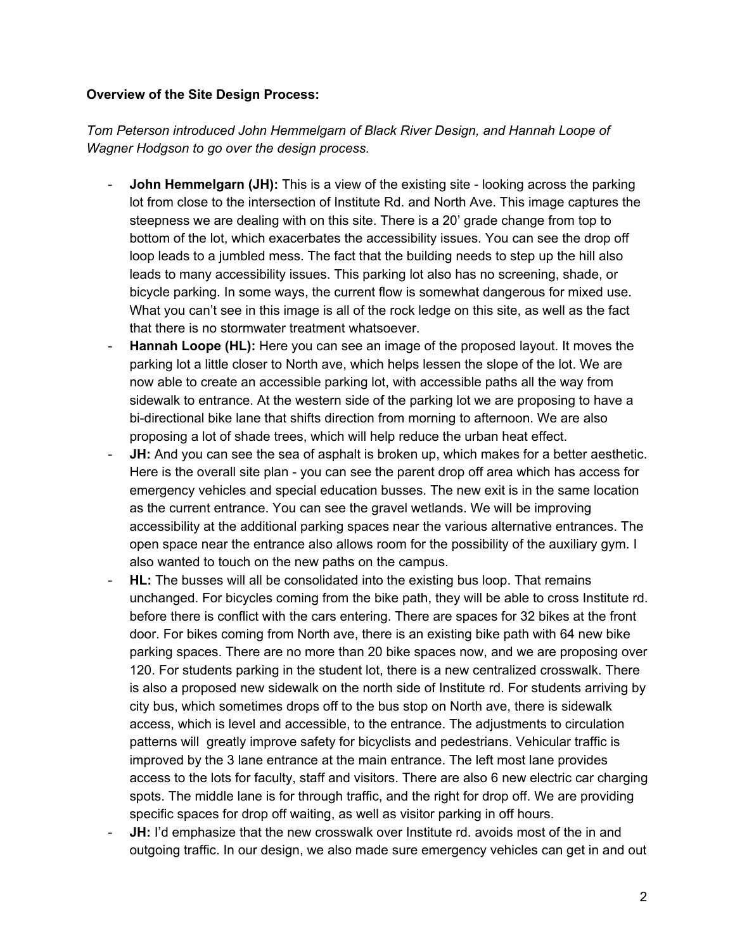#### **Overview of the Site Design Process:**

*Tom Peterson introduced John Hemmelgarn of Black River Design, and Hannah Loope of Wagner Hodgson to go over the design process.*

- **John Hemmelgarn (JH):** This is a view of the existing site looking across the parking lot from close to the intersection of Institute Rd. and North Ave. This image captures the steepness we are dealing with on this site. There is a 20' grade change from top to bottom of the lot, which exacerbates the accessibility issues. You can see the drop off loop leads to a jumbled mess. The fact that the building needs to step up the hill also leads to many accessibility issues. This parking lot also has no screening, shade, or bicycle parking. In some ways, the current flow is somewhat dangerous for mixed use. What you can't see in this image is all of the rock ledge on this site, as well as the fact that there is no stormwater treatment whatsoever.
- **Hannah Loope (HL):** Here you can see an image of the proposed layout. It moves the parking lot a little closer to North ave, which helps lessen the slope of the lot. We are now able to create an accessible parking lot, with accessible paths all the way from sidewalk to entrance. At the western side of the parking lot we are proposing to have a bi-directional bike lane that shifts direction from morning to afternoon. We are also proposing a lot of shade trees, which will help reduce the urban heat effect.
- **JH:** And you can see the sea of asphalt is broken up, which makes for a better aesthetic. Here is the overall site plan - you can see the parent drop off area which has access for emergency vehicles and special education busses. The new exit is in the same location as the current entrance. You can see the gravel wetlands. We will be improving accessibility at the additional parking spaces near the various alternative entrances. The open space near the entrance also allows room for the possibility of the auxiliary gym. I also wanted to touch on the new paths on the campus.
- **HL:** The busses will all be consolidated into the existing bus loop. That remains unchanged. For bicycles coming from the bike path, they will be able to cross Institute rd. before there is conflict with the cars entering. There are spaces for 32 bikes at the front door. For bikes coming from North ave, there is an existing bike path with 64 new bike parking spaces. There are no more than 20 bike spaces now, and we are proposing over 120. For students parking in the student lot, there is a new centralized crosswalk. There is also a proposed new sidewalk on the north side of Institute rd. For students arriving by city bus, which sometimes drops off to the bus stop on North ave, there is sidewalk access, which is level and accessible, to the entrance. The adjustments to circulation patterns will greatly improve safety for bicyclists and pedestrians. Vehicular traffic is improved by the 3 lane entrance at the main entrance. The left most lane provides access to the lots for faculty, staff and visitors. There are also 6 new electric car charging spots. The middle lane is for through traffic, and the right for drop off. We are providing specific spaces for drop off waiting, as well as visitor parking in off hours.
- **JH:** I'd emphasize that the new crosswalk over Institute rd. avoids most of the in and outgoing traffic. In our design, we also made sure emergency vehicles can get in and out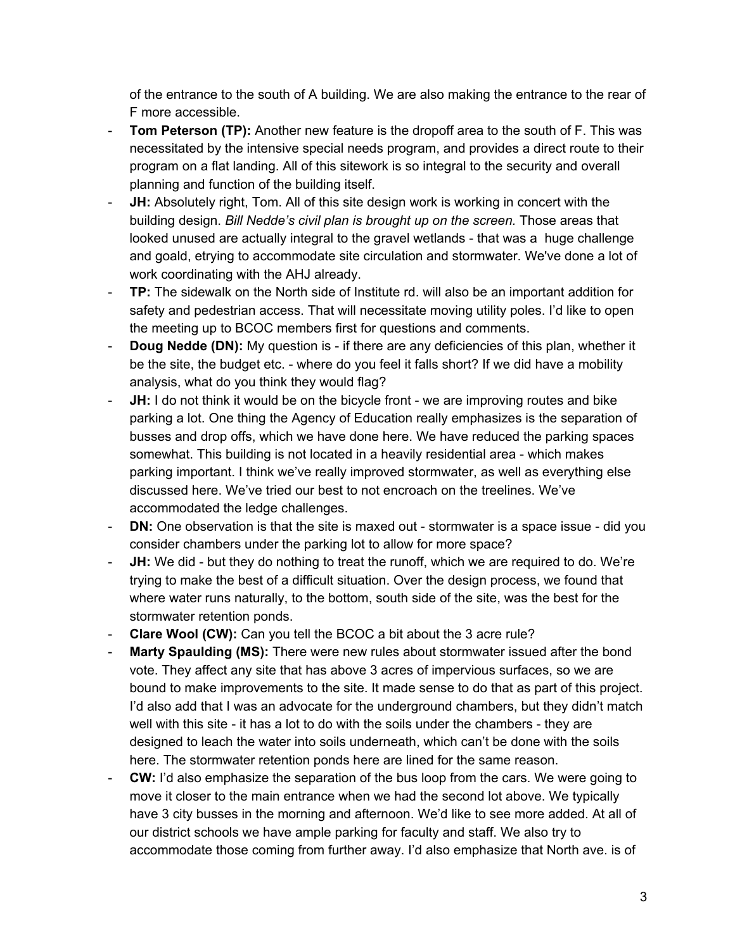of the entrance to the south of A building. We are also making the entrance to the rear of F more accessible.

- **Tom Peterson (TP):** Another new feature is the dropoff area to the south of F. This was necessitated by the intensive special needs program, and provides a direct route to their program on a flat landing. All of this sitework is so integral to the security and overall planning and function of the building itself.
- **JH:** Absolutely right, Tom. All of this site design work is working in concert with the building design. *Bill Nedde's civil plan is brought up on the screen.* Those areas that looked unused are actually integral to the gravel wetlands - that was a huge challenge and goald, etrying to accommodate site circulation and stormwater. We've done a lot of work coordinating with the AHJ already.
- **TP:** The sidewalk on the North side of Institute rd. will also be an important addition for safety and pedestrian access. That will necessitate moving utility poles. I'd like to open the meeting up to BCOC members first for questions and comments.
- **Doug Nedde (DN):** My question is if there are any deficiencies of this plan, whether it be the site, the budget etc. - where do you feel it falls short? If we did have a mobility analysis, what do you think they would flag?
- **JH:** I do not think it would be on the bicycle front we are improving routes and bike parking a lot. One thing the Agency of Education really emphasizes is the separation of busses and drop offs, which we have done here. We have reduced the parking spaces somewhat. This building is not located in a heavily residential area - which makes parking important. I think we've really improved stormwater, as well as everything else discussed here. We've tried our best to not encroach on the treelines. We've accommodated the ledge challenges.
- **DN:** One observation is that the site is maxed out stormwater is a space issue did you consider chambers under the parking lot to allow for more space?
- **JH:** We did but they do nothing to treat the runoff, which we are required to do. We're trying to make the best of a difficult situation. Over the design process, we found that where water runs naturally, to the bottom, south side of the site, was the best for the stormwater retention ponds.
- **Clare Wool (CW):** Can you tell the BCOC a bit about the 3 acre rule?
- **Marty Spaulding (MS):** There were new rules about stormwater issued after the bond vote. They affect any site that has above 3 acres of impervious surfaces, so we are bound to make improvements to the site. It made sense to do that as part of this project. I'd also add that I was an advocate for the underground chambers, but they didn't match well with this site - it has a lot to do with the soils under the chambers - they are designed to leach the water into soils underneath, which can't be done with the soils here. The stormwater retention ponds here are lined for the same reason.
- **CW:** I'd also emphasize the separation of the bus loop from the cars. We were going to move it closer to the main entrance when we had the second lot above. We typically have 3 city busses in the morning and afternoon. We'd like to see more added. At all of our district schools we have ample parking for faculty and staff. We also try to accommodate those coming from further away. I'd also emphasize that North ave. is of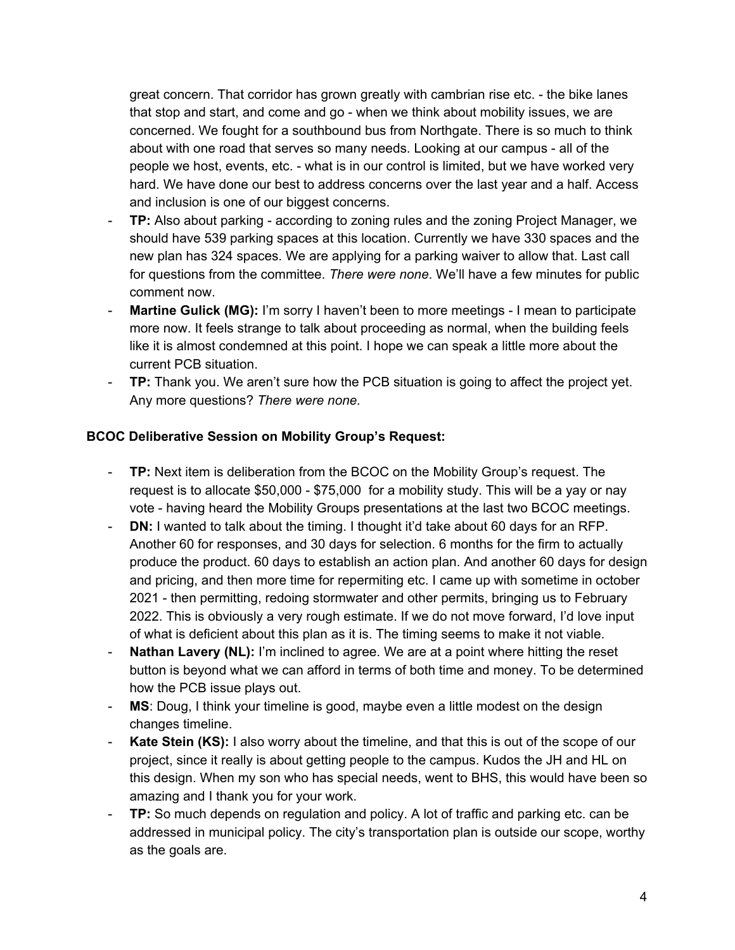great concern. That corridor has grown greatly with cambrian rise etc. - the bike lanes that stop and start, and come and go - when we think about mobility issues, we are concerned. We fought for a southbound bus from Northgate. There is so much to think about with one road that serves so many needs. Looking at our campus - all of the people we host, events, etc. - what is in our control is limited, but we have worked very hard. We have done our best to address concerns over the last year and a half. Access and inclusion is one of our biggest concerns.

- **TP:** Also about parking according to zoning rules and the zoning Project Manager, we should have 539 parking spaces at this location. Currently we have 330 spaces and the new plan has 324 spaces. We are applying for a parking waiver to allow that. Last call for questions from the committee. *There were none*. We'll have a few minutes for public comment now.
- **Martine Gulick (MG):** I'm sorry I haven't been to more meetings I mean to participate more now. It feels strange to talk about proceeding as normal, when the building feels like it is almost condemned at this point. I hope we can speak a little more about the current PCB situation.
- **TP:** Thank you. We aren't sure how the PCB situation is going to affect the project yet. Any more questions? *There were none.*

## **BCOC Deliberative Session on Mobility Group's Request:**

- **TP:** Next item is deliberation from the BCOC on the Mobility Group's request. The request is to allocate \$50,000 - \$75,000 for a mobility study. This will be a yay or nay vote - having heard the Mobility Groups presentations at the last two BCOC meetings.
- **DN:** I wanted to talk about the timing. I thought it'd take about 60 days for an RFP. Another 60 for responses, and 30 days for selection. 6 months for the firm to actually produce the product. 60 days to establish an action plan. And another 60 days for design and pricing, and then more time for repermiting etc. I came up with sometime in october 2021 - then permitting, redoing stormwater and other permits, bringing us to February 2022. This is obviously a very rough estimate. If we do not move forward, I'd love input of what is deficient about this plan as it is. The timing seems to make it not viable.
- **Nathan Lavery (NL):** I'm inclined to agree. We are at a point where hitting the reset button is beyond what we can afford in terms of both time and money. To be determined how the PCB issue plays out.
- **MS**: Doug, I think your timeline is good, maybe even a little modest on the design changes timeline.
- **Kate Stein (KS):** I also worry about the timeline, and that this is out of the scope of our project, since it really is about getting people to the campus. Kudos the JH and HL on this design. When my son who has special needs, went to BHS, this would have been so amazing and I thank you for your work.
- **TP:** So much depends on regulation and policy. A lot of traffic and parking etc. can be addressed in municipal policy. The city's transportation plan is outside our scope, worthy as the goals are.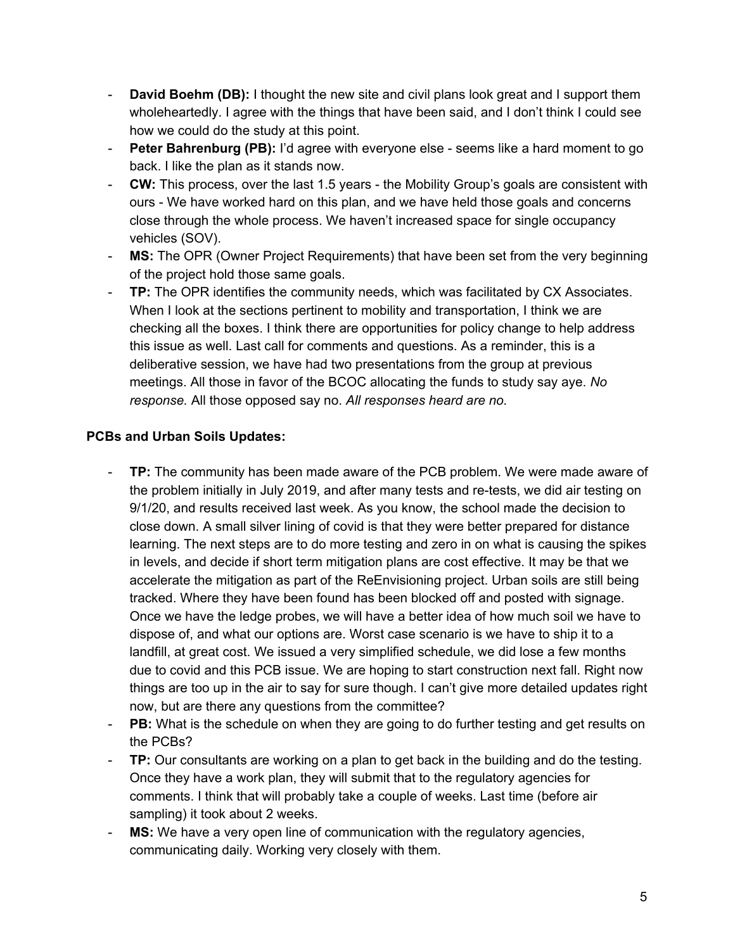- **David Boehm (DB):** I thought the new site and civil plans look great and I support them wholeheartedly. I agree with the things that have been said, and I don't think I could see how we could do the study at this point.
- **Peter Bahrenburg (PB):** I'd agree with everyone else seems like a hard moment to go back. I like the plan as it stands now.
- **CW:** This process, over the last 1.5 years the Mobility Group's goals are consistent with ours - We have worked hard on this plan, and we have held those goals and concerns close through the whole process. We haven't increased space for single occupancy vehicles (SOV).
- **MS:** The OPR (Owner Project Requirements) that have been set from the very beginning of the project hold those same goals.
- **TP:** The OPR identifies the community needs, which was facilitated by CX Associates. When I look at the sections pertinent to mobility and transportation, I think we are checking all the boxes. I think there are opportunities for policy change to help address this issue as well. Last call for comments and questions. As a reminder, this is a deliberative session, we have had two presentations from the group at previous meetings. All those in favor of the BCOC allocating the funds to study say aye. *No response.* All those opposed say no. *All responses heard are no.*

## **PCBs and Urban Soils Updates:**

- **TP:** The community has been made aware of the PCB problem. We were made aware of the problem initially in July 2019, and after many tests and re-tests, we did air testing on 9/1/20, and results received last week. As you know, the school made the decision to close down. A small silver lining of covid is that they were better prepared for distance learning. The next steps are to do more testing and zero in on what is causing the spikes in levels, and decide if short term mitigation plans are cost effective. It may be that we accelerate the mitigation as part of the ReEnvisioning project. Urban soils are still being tracked. Where they have been found has been blocked off and posted with signage. Once we have the ledge probes, we will have a better idea of how much soil we have to dispose of, and what our options are. Worst case scenario is we have to ship it to a landfill, at great cost. We issued a very simplified schedule, we did lose a few months due to covid and this PCB issue. We are hoping to start construction next fall. Right now things are too up in the air to say for sure though. I can't give more detailed updates right now, but are there any questions from the committee?
- **PB:** What is the schedule on when they are going to do further testing and get results on the PCBs?
- **TP:** Our consultants are working on a plan to get back in the building and do the testing. Once they have a work plan, they will submit that to the regulatory agencies for comments. I think that will probably take a couple of weeks. Last time (before air sampling) it took about 2 weeks.
- **MS:** We have a very open line of communication with the regulatory agencies, communicating daily. Working very closely with them.